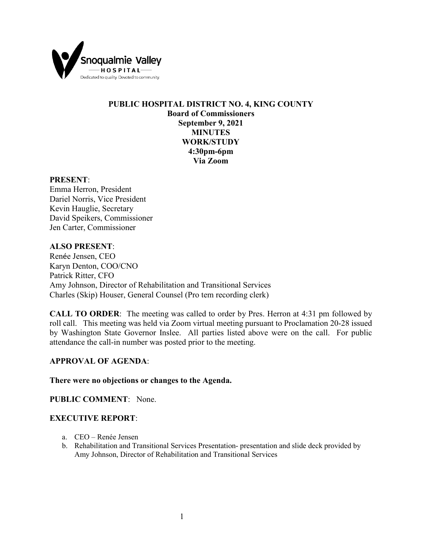

# **PUBLIC HOSPITAL DISTRICT NO. 4, KING COUNTY Board of Commissioners September 9, 2021 MINUTES WORK/STUDY 4:30pm-6pm Via Zoom**

#### **PRESENT**:

Emma Herron, President Dariel Norris, Vice President Kevin Hauglie, Secretary David Speikers, Commissioner Jen Carter, Commissioner

### **ALSO PRESENT**:

Renée Jensen, CEO Karyn Denton, COO/CNO Patrick Ritter, CFO Amy Johnson, Director of Rehabilitation and Transitional Services Charles (Skip) Houser, General Counsel (Pro tem recording clerk)

**CALL TO ORDER**: The meeting was called to order by Pres. Herron at 4:31 pm followed by roll call. This meeting was held via Zoom virtual meeting pursuant to Proclamation 20-28 issued by Washington State Governor Inslee. All parties listed above were on the call. For public attendance the call-in number was posted prior to the meeting.

## **APPROVAL OF AGENDA**:

### **There were no objections or changes to the Agenda.**

**PUBLIC COMMENT**: None.

### **EXECUTIVE REPORT**:

- a. CEO Renée Jensen
- b. Rehabilitation and Transitional Services Presentation- presentation and slide deck provided by Amy Johnson, Director of Rehabilitation and Transitional Services